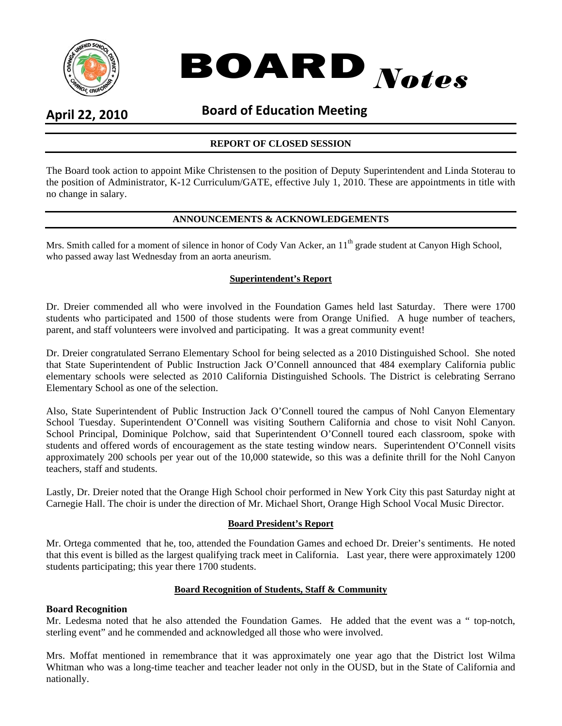

# BOARD *Notes*

## **April 22, 2010 Board of Education Meeting**

## **REPORT OF CLOSED SESSION**

The Board took action to appoint Mike Christensen to the position of Deputy Superintendent and Linda Stoterau to the position of Administrator, K-12 Curriculum/GATE, effective July 1, 2010. These are appointments in title with no change in salary.

#### **ANNOUNCEMENTS & ACKNOWLEDGEMENTS**

Mrs. Smith called for a moment of silence in honor of Cody Van Acker, an 11<sup>th</sup> grade student at Canyon High School, who passed away last Wednesday from an aorta aneurism.

#### **Superintendent's Report**

Dr. Dreier commended all who were involved in the Foundation Games held last Saturday. There were 1700 students who participated and 1500 of those students were from Orange Unified. A huge number of teachers, parent, and staff volunteers were involved and participating. It was a great community event!

Dr. Dreier congratulated Serrano Elementary School for being selected as a 2010 Distinguished School. She noted that State Superintendent of Public Instruction Jack O'Connell announced that 484 exemplary California public elementary schools were selected as 2010 California Distinguished Schools. The District is celebrating Serrano Elementary School as one of the selection.

Also, State Superintendent of Public Instruction Jack O'Connell toured the campus of Nohl Canyon Elementary School Tuesday. Superintendent O'Connell was visiting Southern California and chose to visit Nohl Canyon. School Principal, Dominique Polchow, said that Superintendent O'Connell toured each classroom, spoke with students and offered words of encouragement as the state testing window nears. Superintendent O'Connell visits approximately 200 schools per year out of the 10,000 statewide, so this was a definite thrill for the Nohl Canyon teachers, staff and students.

Lastly, Dr. Dreier noted that the Orange High School choir performed in New York City this past Saturday night at Carnegie Hall. The choir is under the direction of Mr. Michael Short, Orange High School Vocal Music Director.

#### **Board President's Report**

Mr. Ortega commented that he, too, attended the Foundation Games and echoed Dr. Dreier's sentiments. He noted that this event is billed as the largest qualifying track meet in California. Last year, there were approximately 1200 students participating; this year there 1700 students.

#### **Board Recognition of Students, Staff & Community**

#### **Board Recognition**

Mr. Ledesma noted that he also attended the Foundation Games. He added that the event was a " top-notch, sterling event" and he commended and acknowledged all those who were involved.

Mrs. Moffat mentioned in remembrance that it was approximately one year ago that the District lost Wilma Whitman who was a long-time teacher and teacher leader not only in the OUSD, but in the State of California and nationally.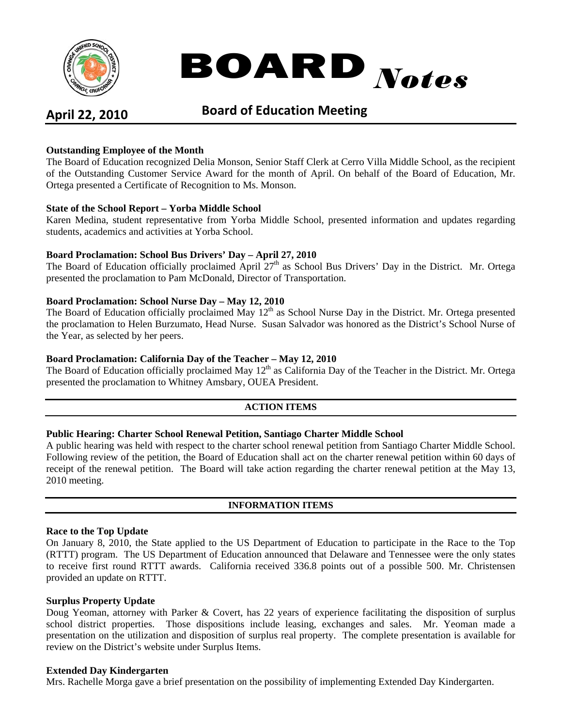

# BOARD *Notes*

## **April 22, 2010 Board of Education Meeting**

### **Outstanding Employee of the Month**

The Board of Education recognized Delia Monson, Senior Staff Clerk at Cerro Villa Middle School, as the recipient of the Outstanding Customer Service Award for the month of April. On behalf of the Board of Education, Mr. Ortega presented a Certificate of Recognition to Ms. Monson.

#### **State of the School Report – Yorba Middle School**

Karen Medina, student representative from Yorba Middle School, presented information and updates regarding students, academics and activities at Yorba School.

#### **Board Proclamation: School Bus Drivers' Day – April 27, 2010**

The Board of Education officially proclaimed April  $27<sup>th</sup>$  as School Bus Drivers' Day in the District. Mr. Ortega presented the proclamation to Pam McDonald, Director of Transportation.

#### **Board Proclamation: School Nurse Day – May 12, 2010**

The Board of Education officially proclaimed May 12<sup>th</sup> as School Nurse Day in the District. Mr. Ortega presented the proclamation to Helen Burzumato, Head Nurse. Susan Salvador was honored as the District's School Nurse of the Year, as selected by her peers.

#### **Board Proclamation: California Day of the Teacher – May 12, 2010**

The Board of Education officially proclaimed May 12<sup>th</sup> as California Day of the Teacher in the District. Mr. Ortega presented the proclamation to Whitney Amsbary, OUEA President.

#### **ACTION ITEMS**

#### **Public Hearing: Charter School Renewal Petition, Santiago Charter Middle School**

A public hearing was held with respect to the charter school renewal petition from Santiago Charter Middle School. Following review of the petition, the Board of Education shall act on the charter renewal petition within 60 days of receipt of the renewal petition. The Board will take action regarding the charter renewal petition at the May 13, 2010 meeting.

#### **INFORMATION ITEMS**

#### **Race to the Top Update**

On January 8, 2010, the State applied to the US Department of Education to participate in the Race to the Top (RTTT) program. The US Department of Education announced that Delaware and Tennessee were the only states to receive first round RTTT awards. California received 336.8 points out of a possible 500. Mr. Christensen provided an update on RTTT.

#### **Surplus Property Update**

Doug Yeoman, attorney with Parker & Covert, has 22 years of experience facilitating the disposition of surplus school district properties. Those dispositions include leasing, exchanges and sales. Mr. Yeoman made a presentation on the utilization and disposition of surplus real property. The complete presentation is available for review on the District's website under Surplus Items.

#### **Extended Day Kindergarten**

Mrs. Rachelle Morga gave a brief presentation on the possibility of implementing Extended Day Kindergarten.